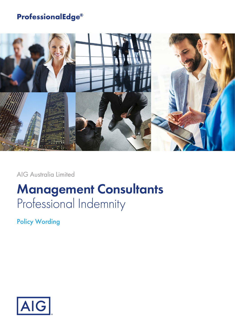## **ProfessionalEdge®**



AIG Australia Limited

# **Management Consultants** Professional Indemnity

Policy Wording

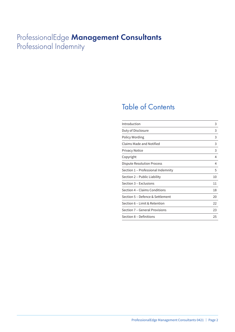## ProfessionalEdge **Management Consultants** Professional Indemnity

## Table of Contents

| Introduction                       | 3  |
|------------------------------------|----|
| Duty of Disclosure                 | 3  |
| Policy Wording                     | 3  |
| Claims Made and Notified           | 3  |
| <b>Privacy Notice</b>              | 3  |
| Copyright                          | 4  |
| Dispute Resolution Process         | 4  |
| Section 1 – Professional Indemnity | 5  |
| Section 2 – Public Liability       | 10 |
| Section 3 – Exclusions             | 11 |
| Section 4 – Claims Conditions      | 18 |
| Section 5 – Defence & Settlement   | 20 |
| Section 6 - Limit & Retention      | 22 |
| Section 7 - General Provisions     | 23 |
| Section 8 - Definitions            | 25 |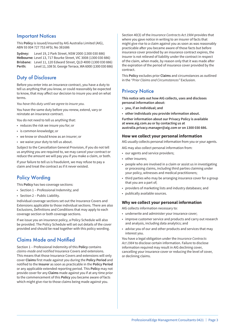### Important Notices

This **Policy** is issued/insured by AIG Australia Limited (AIG), ABN 93 004 727 753 AFSL No 381686

**Sydney:** Level 19, 2 Park Street, NSW 2000 (1300 030 886) **Melbourne:** Level 13, 717 Bourke Street, VIC 3008 (1300 030 886) **Brisbane:** Level 11, 120 Edward Street, QLD 4000 (1300 030 886) **Perth:** Level 11, 108 St. George Terrace, WA 6000 (1300 030 886)

### Duty of Disclosure

Before you enter into an insurance contract, you have a duty to tell us anything that you know, or could reasonably be expected to know, that may affect our decision to insure you and on what terms.

*You have this duty until we agree to insure you.*

You have the same duty before you renew, extend, vary or reinstate an insurance contract.

You do not need to tell us anything that:

- reduces the risk we insure you for; or
- is common knowledge; or
- we know or should know as an insurer; or
- we waive your duty to tell us about.

Subject to the Cancellation General Provision, if you do not tell us anything you are required to, we may cancel your contract or reduce the amount we will pay you if you make a claim, or both.

If your failure to tell us is fraudulent, we may refuse to pay a claim and treat the contract as if it never existed.

## Policy Wording

This **Policy** has two coverage sections:

- Section 1 Professional Indemnity; and
- Section 2 Public Liability.

Individual coverage sections set out the Insurance Covers and Extensions applicable to those individual sections. There are also Exclusions, Definitions and Conditions that may apply to each coverage section or both coverage sections.

If we issue you an insurance policy, a Policy Schedule will also be provided. The Policy Schedule will set out details of the cover provided and should be read together with this policy wording.

## Claims Made and Notified

Section 1 – Professional Indemnity of this **Policy** contains *claims-made and notified* Insurance Covers and extensions. This means that those Insurance Covers and extensions will only cover **Claims** first made against you during the **Policy Period** and notified to the **Insurer** as soon as practicable in the **Policy Period** or any applicable extended reporting period. This **Policy** may not provide cover for any **Claims** made against you if at any time prior to the commencement of this **Policy** you became aware of facts which might give rise to those claims being made against you.

Section 40(3) of the *Insurance Contracts Act 1984* provides that where you gave notice in writing to an insurer of facts that might give rise to a claim against you as soon as was reasonably practicable after you became aware of those facts but before insurance cover provided by an insurance contract expires, the insurer is not relieved of liability under the contract in respect of the claim, when made, by reason only that it was made after the expiration of the period of insurance cover provided by the contract.

This **Policy** excludes prior **Claims** and circumstances as outlined in the *"Prior Claims and Circumstances"* Exclusion.

## **Privacy Notice**

**This notice sets out how AIG collects, uses and discloses personal information about:**

- **you, if an individual; and**
- **other individuals you provide information about.**

**Further information about our Privacy Policy is available at www.aig.com.au or by contacting us at australia.privacy.manager@aig.com or on 1300 030 886.**

#### **How we collect your personal information**

AIG usually collects personal information from you or your agents.

- AIG may also collect personal information from:
- our agents and service providers;
- other insurers;
- people who are involved in a claim or assist us in investigating or processing claims, including third parties claiming under your policy, witnesses and medical practitioners;
- third parties who may be arranging insurance cover for a group that you are a part of;
- providers of marketing lists and industry databases; and
- publically available sources.

#### **Why we collect your personal information**

AIG collects information necessary to:

- underwrite and administer your insurance cover;
- improve customer service and products and carry out research and analysis, including data analytics; and
- advise you of our and other products and services that may interest you.

You have a legal obligation under the *Insurance Contracts Act 1984* to disclose certain information. Failure to disclose information required may result in AIG declining cover, cancelling your insurance cover or reducing the level of cover, or declining claims.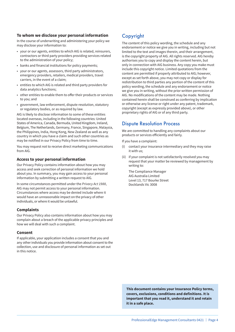#### **To whom we disclose your personal information**

In the course of underwriting and administering your policy we may disclose your information to:

- your or our agents, entities to which AIG is related, reinsurers, contractors or third party providers providing services related to the administration of your policy;
- banks and financial institutions for policy payments;
- your or our agents, assessors, third party administrators, emergency providers, retailers, medical providers, travel carriers, in the event of a claim;
- entities to which AIG is related and third party providers for data analytics functions;
- other entities to enable them to offer their products or services to you; and
- government, law enforcement, dispute resolution, statutory or regulatory bodies, or as required by law.

AIG is likely to disclose information to some of these entities located overseas, including in the following countries: United States of America, Canada, Bermuda, United Kingdom, Ireland, Belgium, The Netherlands, Germany, France, Singapore, Malaysia, the Philippines, India, Hong Kong, New Zealand as well as any country in which you have a claim and such other countries as may be notified in our Privacy Policy from time to time.

You may request not to receive direct marketing communications from AIG.

#### **Access to your personal information**

Our Privacy Policy contains information about how you may access and seek correction of personal information we hold about you. In summary, you may gain access to your personal information by submitting a written request to AIG.

In some circumstances permitted under the *Privacy Act 1988*, AIG may not permit access to your personal information. Circumstances where access may be denied include where it would have an unreasonable impact on the privacy of other individuals, or where it would be unlawful.

#### **Complaints**

Our Privacy Policy also contains information about how you may complain about a breach of the applicable privacy principles and how we will deal with such a complaint.

#### **Consent**

If applicable, your application includes a consent that you and any other individuals you provide information about consent to the collection, use and disclosure of personal information as set out in this notice.

## Copyright

The content of this policy wording, the schedule and any endorsement or notice we give you in writing, including but not limited to the text and images therein, and their arrangement, is the copyright property of AIG. All rights reserved. AIG hereby authorises you to copy and display the content herein, but only in connection with AIG business. Any copy you make must include this copyright notice. Limited quotations from the content are permitted if properly attributed to AIG; however, except as set forth above, you may not copy or display for redistribution to third parties any portion of the content of this policy wording, the schedule and any endorsement or notice we give you in writing, without the prior written permission of AIG. No modifications of the content may be made. Nothing contained herein shall be construed as conferring by implication or otherwise any license or right under any patent, trademark, copyright (except as expressly provided above), or other proprietary rights of AIG or of any third party.

### Dispute Resolution Process

We are committed to handling any complaints about our products or services efficiently and fairly.

If you have a complaint:

- (i) contact your insurance intermediary and they may raise it with us;
- (ii) if your complaint is not satisfactorily resolved you may request that your matter be reviewed by management by writing to:

The Compliance Manager AIG Australia Limited Level 13, 717 Bourke Street Docklands Vic 3008

**This document contains your Insurance Policy terms, covers, exclusions, conditions and definitions. It is important that you read it, understand it and retain it in a safe place.**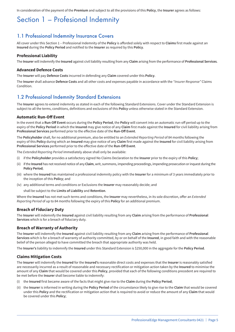In consideration of the payment of the **Premium** and subject to all the provisions of this **Policy**, the **Insurer** agrees as follows:

## Section 1 – Profesional Indemnity

### 1.1 Professional Indemnity Insurance Covers

All cover under this Section 1 – Professional Indemnity of the **Policy** is afforded solely with respect to **Claims** first made against an **Insured** during the **Policy Period** and notified to the **Insurer** as required by this **Policy**.

#### **Professional Liability**

The **Insurer** will indemnify the **Insured** against civil liability resulting from any **Claim** arising from the performance of **Professional Services**.

#### **Advanced Defence Costs**

The **Insurer** will pay **Defence Costs** incurred in defending any **Claim** covered under this **Policy**.

The **Insurer** shall advance **Defence Costs** and all other costs and expenses payable in accordance with the *"Insurer Response"* Claims **Condition** 

### 1.2 Professional Indemnity Standard Extensions

The **Insurer** agrees to extend indemnity as stated in each of the following Standard Extensions. Cover under the Standard Extension is subject to all the terms, conditions, definitions and exclusions of this **Policy** unless otherwise stated in the Standard Extension.

#### **Automatic Run-Off Event**

In the event that a **Run-Off Event** occurs during the **Policy Period**, the **Policy** will convert into an automatic run-off period up to the expiry of the **Policy Period** in which the **Insured** may give notice of any **Claim** first made against the **Insured** for civil liability arising from **Professional Services** performed prior to the effective date of the **Run-Off Event**.

The **Policyholder** shall, for no additional premium, also be entitled to an *Extended Reporting Period* of 84 months following the expiry of this **Policy** during which an **Insured** may give notice of any **Claim** first made against the **Insured** for civil liability arising from **Professional Services** performed prior to the effective date of the **Run-Off Event**.

The *Extended Reporting Period* immediately above shall only be available:

- (i) if the **Policyholder** provides a satisfactory signed No Claims Declaration to the **Insurer** prior to the expiry of this **Policy**;
- (ii) if the **Insured** has not received notice of any **Claim**, writ, summons, impending proceedings, impending prosecution or inquest during the **Policy Period**;
- (iii) where the **Insured** has maintained a professional indemnity policy with the **Insurer** for a minimum of 3 years immediately prior to the inception of this **Policy**; and
- (iv) any additional terms and conditions or Exclusions the **Insurer** may reasonably decide; and

shall be subject to the **Limits of Liability** and **Retention**.

Where the **Insured** has not met such terms and conditions, the **Insurer** may nevertheless, in its sole discretion, offer an *Extended Reporting Period* of up to 84 months following the expiry of this **Policy** for an additional premium.

#### **Breach of Fiduciary Duty**

The **Insurer** will indemnify the **Insured** against civil liability resulting from any **Claim** arising from the performance of **Professional Services** which is for a breach of fiduciary duty.

#### **Breach of Warranty of Authority**

The **Insurer** will indemnify the **Insured** against civil liability resulting from any **Claim** arising from the performance of **Professional Services** which is for a breach of warranty of authority committed, by or on behalf of the **Insured**, in good faith and with the reasonable belief of the person alleged to have committed the breach that appropriate authority was held.

The **Insurer's** liability to indemnify the **Insured** under this Standard Extension is \$250,000 in the aggregate for the **Policy Period**.

#### **Claims Mitigation Costs**

The **Insurer** will indemnify the **Insured** for the **Insured's** reasonable direct costs and expenses that the **Insurer** is reasonably satisfied are necessarily incurred as a result of reasonable and necessary rectification or mitigation action taken by the **Insured** to minimise the amount of any **Claim** that would be covered under this **Policy**, provided that each of the following conditions precedent are required to be met before the **Insurer** shall become liable to indemnify:

- (i) the **Insured** first became aware of the facts that might give rise to the **Claim** during the **Policy Period**;
- (ii) the **Insurer** is informed in writing during the **Policy Period** of the circumstance likely to give rise to the **Claim** that would be covered under this **Policy** and the rectification or mitigation action that is required to avoid or reduce the amount of any **Claim** that would be covered under this **Policy**;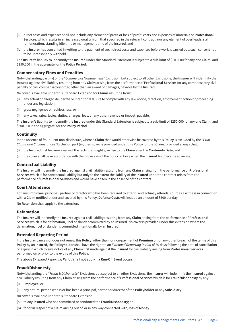- (iii) direct costs and expenses shall not include any element of profit or loss of profit, costs and expenses of materials or **Professional Services**, which results in an increased quality from that specified in the relevant contract, nor any element of overheads, staff remuneration, standing idle time or management time of the **Insured**; and
- (iv) the **Insurer** has consented in writing to the payment of such direct costs and expenses before work is carried out, such consent not to be unreasonably withheld.

The **Insurer's** liability to indemnify the **Insured** under this Standard Extension is subject to a sub-limit of \$100,000 for any one **Claim**, and \$250,000 in the aggregate for the **Policy Period**.

#### **Compensatory Fines and Penalties**

Notwithstanding part (iv) of the *"Commercial Management"* Exclusion, but subject to all other Exclusions, the **Insurer** will indemnify the **Insured** against civil liability resulting from any **Claim** arising from the performance of **Professional Services** for any compensatory civil penalty or civil compensatory order, other than an award of damages, payable by the **Insured**.

No cover is available under this Standard Extension for **Claims** resulting from:

- any actual or alleged deliberate or intentional failure to comply with any law notice, direction, enforcement action or proceeding under any legislation;
- (ii) gross negligence or recklessness; or
- (iii) any taxes, rates, levies, duties, charges, fees, or any other revenue or impost, payable.

The **Insurer's** liability to indemnify the **Insured** under this Standard Extension is subject to a sub-limit of \$250,000 for any one **Claim**, and \$500,000 in the aggregate, for the **Policy Period**.

#### **Continuity**

In the absence of fraudulent non-disclosure, where a **Claim** that would otherwise be covered by this **Policy** is excluded by the *"Prior Claims and Circumstances"* Exclusion part (ii), then cover is provided under this **Policy** for that **Claim**, provided always that:

- (i) the **Insured** first became aware of the facts that might give rise to the **Claim** after the **Continuity Date**; and
- (ii) the cover shall be in accordance with the provisions of the policy in force when the **Insured** first became so aware.

#### **Contractual Liability**

The **Insurer** will indemnify the **Insured** against civil liability resulting from any **Claim** arising from the performance of **Professional Services** which is for contractual liability but only to the extent the liability of the **Insured** under the contract arises from the performance of **Professional Services** and would have arisen in the absence of the contract.

#### **Court Attendance**

For any **Employee**, principal, partner or director who has been required to attend, and actually attends, court as a witness in connection with a **Claim** notified under and covered by this **Policy**, **Defence Costs** will include an amount of \$500 per day.

No **Retention** shall apply to the extension.

#### **Defamation**

The **Insurer** will indemnify the **Insured** against civil liability resulting from any **Claim** arising from the performance of **Professional Services** which is for defamation, libel or slander committed by an **Insured**. No cover is provided under this extension where the defamation, libel or slander is committed intentionally by an **Insured**.

#### **Extended Reporting Period**

If the **Insurer** cancels or does not renew this **Policy**, other than for non-payment of **Premium** or for any other breach of the terms of this **Policy** by an **Insured**, the **Policyholder** shall have the right to an *Extended Reporting Period* of 60 days following the date of cancellation or expiry in which to give notice of any **Claim** first made against the **Insured** for civil liability arising from **Professional Services** performed on or prior to the expiry of this **Policy**.

The above *Extended Reporting Period* shall not apply if a **Run-Off Event** occurs.

#### **Fraud/Dishonesty**

Notwithstanding the *"Fraud & Dishonesty"* Exclusion, but subject to all other Exclusions, the **Insurer** will indemnify the **Insured** against civil liability resulting from any **Claim** arising from the performance of **Professional Services** which is for **Fraud/Dishonesty** by any:

- (i) **Employee**; or
- (ii) any natural person who is or has been a principal, partner or director of the **Policyholder** or any **Subsidiary**.
- No cover is available under this Standard Extension:
- (a) to any **Insured** who has committed or condoned the **Fraud/Dishonesty**; or
- (b) for or in respect of a **Claim** arising out of, or in any way connected with, loss of **Money**.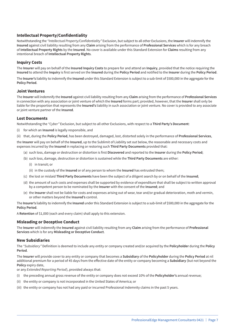#### **Intellectual Property/Confidentiality**

Notwithstanding the *"Intellectual Property/Confidentiality"* Exclusion, but subject to all other Exclusions, the **Insurer** will indemnify the **Insured** against civil liability resulting from any **Claim** arising from the performance of **Professional Services** which is for any breach of **Intellectual Property Rights** by the **Insured**. No cover is available under this Standard Extension for **Claims** resulting from any intentional breach of **Intellectual Property Rights**.

#### **Inquiry Costs**

The **Insurer** will pay on behalf of the **Insured Inquiry Costs** to prepare for and attend an **Inquiry**, provided that the notice requiring the **Insured** to attend the **Inquiry** is first served on the **Insured** during the **Policy Period** and notified to the **Insurer** during the **Policy Period**.

The **Insurer's** liability to indemnify the **Insured** under this Standard Extension is subject to a sub-limit of \$500,000 in the aggregate for the **Policy Period**.

#### **Joint Ventures**

The **Insurer** will indemnify the **Insured** against civil liability resulting from any **Claim** arising from the performance of **Professional Services** in connection with any association or joint venture of which the **Insured** forms part; provided, however, that the **Insurer** shall only be liable for the proportion that represents the **Insured's** liability in such association or joint venture. No cover is provided to any associate or joint venture partner of the **Insured**.

#### **Lost Documents**

Notwithstanding the *"Cyber"* Exclusion, but subject to all other Exclusions, with respect to a **Third Party's Document**:

- (i) for which an **Insured** is legally responsible, and
- (ii) that, during the **Policy Period**, has been destroyed, damaged, lost, distorted solely in the performance of **Professional Services**,

the **Insurer** will pay on behalf of the **Insured**, up to the Sublimit of Liability set out below, the reasonable and necessary costs and expenses incurred by the **Insured** in replacing or restoring such **Third Party Documents** provided that:

- (a) such loss, damage or destruction or distortion is first **Discovered** and reported to the **Insurer** during the **Policy Period**;
- (b) such loss, damage, destruction or distortion is sustained while the **Third Party Documents** are either:
	- (i) in transit; or
	- (ii) in the custody of the **Insured** or of any person to whom the **Insured** has entrusted them;
- (c) the lost or mislaid **Third Party Documents** have been the subject of a diligent search by or on behalf of the **Insured**;
- (d) the amount of such costs and expenses shall be supported by evidence of expenditure that shall be subject to written approval by a competent person to be nominated by the **Insurer** with the consent of the **Insured**; and
- (e) the **Insurer** shall not be liable for costs and expenses arising out of wear, tear and/or gradual deterioration, moth and vermin, or other matters beyond the **Insured's** control.

The **Insurer's** liability to indemnify the **Insured** under this Standard Extension is subject to a sub-limit of \$500,000 in the aggregate for the **Policy Period**.

A **Retention** of \$1,000 (each and every claim) shall apply to this extension.

#### **Misleading or Deceptive Conduct**

The **Insurer** will indemnify the **Insured** against civil liability resulting from any **Claim** arising from the performance of **Professional Services** which is for any **Misleading or Deceptive Conduct**.

#### **New Subsidiaries**

The *"Subsidiary"* Definition is deemed to include any entity or company created and/or acquired by the **Policyholder** during the **Policy Period**.

The **Insurer** will provide cover to any entity or company that becomes a **Subsidiary** of the **Policyholder** during the **Policy Period** at nil additional premium for a period of 45 days from the effective date of the entity or company becoming a **Subsidiary** (but not beyond the **Policy** expiry date,

or any *Extended Reporting Period*), provided always that:

- (i) the preceding annual gross revenue of the entity or company does not exceed 10% of the **Policyholder's** annual revenue;
- (ii) the entity or company is not incorporated in the United States of America; or
- (iii) the entity or company has not had any paid or incurred Professional Indemnity claims in the past 5 years.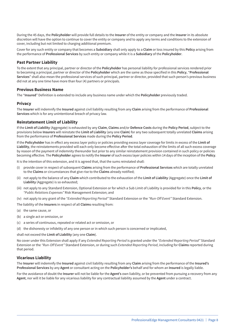During the 45 days, the **Policyholder** will provide full details to the **Insurer** of the entity or company and the **Insurer** in its absolute discretion will have the option to continue to cover the entity or company and to apply any terms and conditions to the extension of cover, including but not limited to charging additional premium.

Cover for any such entity or company that becomes a **Subsidiary** shall only apply to a **Claim** or loss insured by this **Policy** arising from the performance of **Professional Services** by such entity or company while it is a **Subsidiary** of the **Policyholder**.

#### **Past Partner Liability**

To the extent that any principal, partner or director of the **Policyholder** has personal liability for professional services rendered prior to becoming a principal, partner or director of the **Policyholder** which are the same as those specified in this **Policy**, "**Professional Services**" shall also mean the professional services of such principal, partner or director, provided that such person's previous business did not at any one time have more than four (4) partners or principals.

#### **Previous Business Name**

The "**Insured**" Definition is extended to include any business name under which the **Policyholder** previously traded.

#### **Privacy**

The **Insurer** will indemnify the **Insured** against civil liability resulting from any **Claim** arising from the performance of **Professional Services** which is for any unintentional breach of privacy law.

#### **Reinstatement Limit of Liability**

If the **Limit of Liability** (Aggregate) is exhausted by any **Claim**, **Claims** and/or **Defence Costs** during the **Policy Period**, subject to the provisions below **Insurers** will reinstate the **Limit of Liability** (any one **Claim**) for any two subsequent totally unrelated **Claims** arising from the performance of **Professional Services** made during the **Policy Period**.

If the **Policyholder** has in effect any excess layer policy or policies providing excess layer coverage for limits in excess of the **Limit of Liability**, the reinstatements provided will each only become effective after the total exhaustion of the limits of all such excess coverage by reason of the payment of indemnity thereunder but prior to any similar reinstatement provision contained in such policy or policies becoming effective. The **Policyholder** agrees to notify the **Insurer** of such excess layer policies within 14 days of the inception of the **Policy**.

It is the intention of this extension, and it is agreed that, that the sums reinstated shall:

- (i) provide cover in respect of subsequent **Claims** arising from the performance of **Professional Services** which are totally unrelated to the **Claims** or circumstances that give rise to the **Claims** already notified;
- (ii) not apply to the balance of any **Claim** which contributed to the exhaustion of the **Limit of Liability** (Aggregate) once the **Limit of Liability** (Aggregate) is so exhausted;
- (iii) not apply to any Standard Extension, Optional Extension or for which a Sub Limit of Liability is provided for in this **Policy**, or the *"Public Relations Expenses"* Risk Management Extension; and
- (iv) not apply to any grant of the *"Extended Reporting Period"* Standard Extension or the *"Run-Off Event"* Standard Extension.

The liability of the **Insurers** in respect of all **Claims** resulting from:

- (a) the same cause, or
- (b) a single act or omission, or
- (c) a series of continuous, repeated or related act or omission, or
- (d) the dishonesty or infidelity of any one person or in which such person is concerned or implicated,

#### shall not exceed the **Limit of Liability** (any one **Claim**).

No cover under this Extension shall apply if any *Extended Reporting Period* is granted under the *"Extended Reporting Period"* Standard Extension or the *"Run-Off Event"* Standard Extension, or during such *Extended Reporting Period*, including for **Claims** reported during that period.

#### **Vicarious Liability**

The **Insurer** will indemnify the **Insured** against civil liability resulting from any **Claim** arising from the performance of the **Insured's Professional Services** by any **Agent** or consultant acting on the **Policyholder's** behalf and for whom an **Insured** is legally liable.

For the avoidance of doubt the **Insurer** will not be liable for the **Agent's** own liability, or be prevented from pursuing a recovery from any **Agent**, nor will it be liable for any vicarious liability for any contractual liability assumed by the **Agent** under a contract.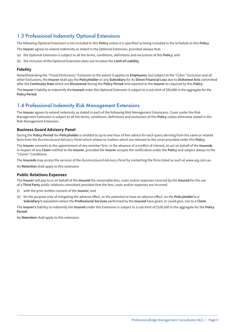### 1.3 Professional Indemnity Optional Extensions

The following Optional Extension is not included in this **Policy** unless it is specified as being included in the Schedule to this **Policy**.

The **Insurer** agrees to extend indemnity as stated in the Optional Extension, provided always that:

- (a) the Optional Extension is subject to all the terms, conditions, definitions and exclusions of this **Policy**; and
- (b) the inclusion of the Optional Extension does not increase the **Limit of Liability**.

#### **Fidelity**

Notwithstanding the *"Fraud/Dishonesty"* Exclusion to the extent it applies to **Employees**, but subject to the *"Cyber"* Exclusion and all other Exclusions, the **Insurer** shall pay the **Policyholder** or any **Subsidiary** for its **Direct Financial Loss** due to **Dishonest Acts** committed after the **Continuity Date** which are **Discovered** during the **Policy Period** and reported to the **Insurer** as required by this **Policy**.

The **Insurer**'s liability to indemnify the **Insured** under this Optional Extension is subject to a sub-limit of \$50,000 in the aggregate for the **Policy Period**.

### 1.4 Professional Indemnity Risk Management Extensions

The **Insurer** agrees to extend indemnity as stated in each of the following Risk Management Extensions. Cover under the Risk Management Extension is subject to all the terms, conditions, definitions and exclusions of this **Policy** unless otherwise stated in the Risk Management Extension.

#### **Business Guard Advisory Panel**

During the **Policy Period** the **Policyholder** is entitled to up to one hour of free advice for each query deriving from the same or related facts from the *BusinessGuard Advisory Panel* which relates to matters which are relevant to the cover provided under this **Policy**.

The **Insurer** consents to the appointment of any member firm, in the absence of a conflict of interest, to act on behalf of the **Insureds** in respect of any **Claim** notified to the **Insurer**, provided the **Insurer** accepts the notification under the **Policy** and subject always to the "*Claims*" Conditions.

The **Insureds** may access the services of the *BusinessGuard Advisory Panel* by contacting the firms listed as such at www.aig.com.au.

No **Retention** shall apply to this extension.

#### **Public Relations Expenses**

The **Insurer** will pay to or on behalf of the **Insured** the reasonable fees, costs and/or expenses incurred by the **Insured** for the use of a **Third Party** public relations consultant provided that the fees, costs and/or expenses are incurred:

- (i) with the prior written consent of the **Insurer**; and
- (ii) for the purpose only of mitigating the adverse effect, or the potential to have an adverse effect, on the **Policyholder's** or **Subsidiary's** reputation where the **Professional Services** performed by the **Insured** have given, or could give, rise to a **Claim**.

The **Insurer's** liability to indemnify the **Insured** under this Extension is subject to a sub-limit of \$100,000 in the aggregate for the **Policy Period**.

No **Retention** shall apply to this extension.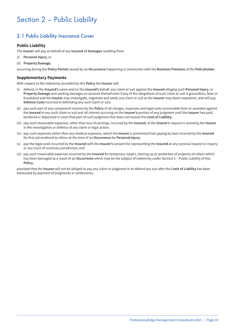## Section 2 – Public Liability

## 2.1 Public Liability Insurance Cover

#### **Public Liability**

The **Insurer** will pay on behalf of any **Insured** all **Damages** resulting from:

- (i) **Personal Injury**; or
- (ii) **Property Damage**;

occurring during the **Policy Period** caused by an **Occurrence** happening in connection with the **Business Premises** of the **Policyholder**.

#### **Supplementary Payments**

With respect to the indemnity provided by this **Policy** the **Insurer** will:

- (i) defend, in the **Insured's** name and on the **Insured's** behalf, any claim or suit against the **Insured** alleging such **Personal Injury**, or **Property Damage** and seeking damages on account thereof even if any of the allegations of such claim or suit is groundless, false or fraudulent and the **Insurer** may investigate, negotiate and settle any claim or suit as the **Insurer** may deem expedient, and will pay **Defence Costs** incurred in defending any such claim or suit;
- (ii) pay such part of any component covered by the **Policy** of all charges, expenses and legal costs recoverable from or awarded against the **Insured** in any such claim or suit and all interest accruing on the **Insurer's** portion of any judgment until the **Insurer** has paid, tendered or deposited in court that part of such judgment that does not exceed the **Limit of Liability**;
- (iii) pay such reasonable expenses, other than loss of earnings, incurred by the **Insured**, at the **Insurer's** request in assisting the **Insurer** in the investigation or defence of any claim or legal action;
- (iv) pay such expenses (other than any medical expenses, which the **Insurer** is prevented from paying by law) incurred by the **Insured** for first aid rendered to others at the time of an **Occurrence** for **Personal Injury**;
- (v) pay the legal costs incurred by the **Insured** with the **Insurer's** consent for representing the **Insured** at any coronial inquest or inquiry or any court of summary jurisdiction; and
- (vi) pay such reasonable expenses incurred by the **Insured** for temporary repairs, shoring up or protection of property of others which has been damaged as a result of an **Occurrence** which may be the subject of indemnity under Section 2 – Public Liability of this **Policy**,

provided that the **Insurer** will not be obliged to pay any claim or judgment or to defend any suit after the **Limit of Liability** has been exhausted by payment of judgments or settlements.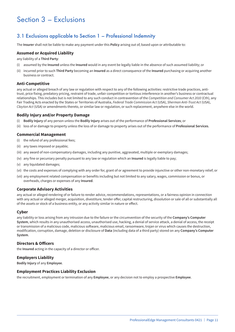## Section 3 – Exclusions

## 3.1 Exclusions applicable to Section 1 – Professional Indemnity

The **Insurer** shall not be liable to make any payment under this **Policy** arising out of, based upon or attributable to:

#### **Assumed or Acquired Liability**

any liability of a **Third Party**:

- (i) assumed by the **Insured** unless the **Insured** would in any event be legally liable in the absence of such assumed liability; or
- (ii) incurred prior to such **Third Party** becoming an **Insured** as a direct consequence of the **Insured** purchasing or acquiring another business or contract.

#### **Anti-Competitive**

any actual or alleged breach of any law or regulation with respect to any of the following activities: restrictive trade practices, antitrust, price fixing, predatory pricing, restraint of trade, unfair competition or tortious interference in another's business or contractual relationships. This includes but is not limited to any such conduct in contravention of the *Competition and Consumer Act 2010* (Cth), any Fair Trading Acts enacted by the States or Territories of Australia, *Federal Trade Commission Act* (USA), *Sherman Anti-Trust Act* (USA), *Clayton Act* (USA) or amendments thereto, or similar law or regulation, or such replacement, anywhere else in the world.

#### **Bodily Injury and/or Property Damage**

- (i) **Bodily Injury** of any person unless the **Bodily Injury** arises out of the performance of **Professional Services**; or
- (ii) loss of or damage to property unless the loss of or damage to property arises out of the performance of **Professional Services**.

#### **Commercial Management**

- (i) the refund of any professional fees;
- (ii) any taxes imposed or payable;
- (iii) any award of non-compensatory damages, including any punitive, aggravated, multiple or exemplary damages;
- (iv) any fine or pecuniary penalty pursuant to any law or regulation which an **Insured** is legally liable to pay;
- (v) any liquidated damages;
- (vi) the costs and expenses of complying with any order for, grant of or agreement to provide injunctive or other non-monetary relief; or
- (vii) any employment related compensation or benefits including but not limited to any salary, wages, commission or bonus, or overheads, charges or expenses of any **Insured**.

#### **Corporate Advisory Activities**

any actual or alleged rendering of or failure to render advice, recommendations, representations, or a fairness opinion in connection with any actual or alleged merger, acquisition, divestiture, tender offer, capital restructuring, dissolution or sale of all or substantially all of the assets or stock of a business entity, or any activity similar in nature or effect.

#### **Cyber**

any liability or loss arising from any intrusion due to the failure or the circumvention of the security of the **Company's Computer System**, which results in any unauthorised access, unauthorised use, hacking, a denial of service attack, a denial of access, the receipt or transmission of a malicious code, malicious software, malicious email, ransomware, trojan or virus which causes the destruction, modification, corruption, damage, deletion or disclosure of **Data** (including data of a third party) stored on any **Company's Computer System**.

#### **Directors & Officers**

the **Insured** acting in the capacity of a director or officer.

#### **Employers Liability**

**Bodily Injury** of any **Employee**.

#### **Employment Practices Liability Exclusion**

the recruitment, employment or termination of any **Employee**, or any decision not to employ a prospective **Employee**.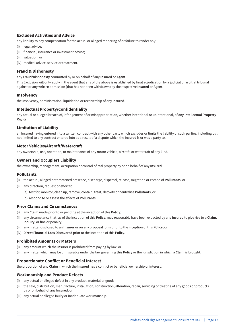#### **Excluded Activities and Advice**

any liability to pay compensation for the actual or alleged rendering of or failure to render any:

- (i) legal advice;
- (ii) financial, insurance or investment advice;
- (iii) valuation; or
- (iv) medical advice, service or treatment.

#### **Fraud & Dishonesty**

any **Fraud/Dishonesty** committed by or on behalf of any **Insured** or **Agent**.

This Exclusion will only apply in the event that any of the above is established by final adjudication by a judicial or arbitral tribunal against or any written admission (that has not been withdrawn) by the respective **Insured** or **Agent**.

#### **Insolvency**

the insolvency, administration, liquidation or receivership of any **Insured**.

#### **Intellectual Property/Confidentiality**

any actual or alleged breach of, infringement of or misappropriation, whether intentional or unintentional, of any **Intellectual Property Rights**.

#### **Limitation of Liability**

an **Insured** having entered into a written contract with any other party which excludes or limits the liability of such parties, including but not limited to any contract entered into as a result of a dispute which the **Insured** is or was a party to.

#### **Motor Vehicles/Aircraft/Watercraft**

any ownership, use, operation, or maintenance of any motor vehicle, aircraft, or watercraft of any kind.

#### **Owners and Occupiers Liability**

the ownership, management, occupation or control of real property by or on behalf of any **Insured**.

#### **Pollutants**

- (i) the actual, alleged or threatened presence, discharge, dispersal, release, migration or escape of **Pollutants**; or
- (ii) any direction, request or effort to:
	- (a) test for, monitor, clean up, remove, contain, treat, detoxify or neutralise **Pollutants**; or
	- (b) respond to or assess the effects of **Pollutants**.

#### **Prior Claims and Circumstances**

- (i) any **Claim** made prior to or pending at the inception of this **Policy**;
- (ii) any circumstance that, as of the inception of this **Policy**, may reasonably have been expected by any **Insured** to give rise to a **Claim**, **Inquiry**, or fine or penalty;
- (iii) any matter disclosed to an **Insurer** or on any proposal form prior to the inception of this **Policy**; or
- (iv) **Direct Financial Loss Discovered** prior to the inception of this **Policy**.

#### **Prohibited Amounts or Matters**

- (i) any amount which the **Insurer** is prohibited from paying by law; or
- (ii) any matter which may be uninsurable under the law governing this **Policy** or the jurisdiction in which a **Claim** is brought.

#### **Proportionate Conflict or Beneficial Interest**

the proportion of any **Claim** in which the **Insured** has a conflict or beneficial ownership or interest.

#### **Workmanship and Product Defects**

- (i) any actual or alleged defect in any product, material or good;
- (ii) the sale, distribution, manufacture, installation, construction, alteration, repair, servicing or treating of any goods or products by or on behalf of any **Insured**; or
- (iii) any actual or alleged faulty or inadequate workmanship.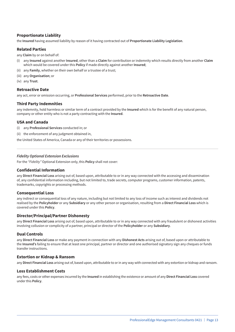#### **Proportionate Liability**

the **Insured** having assumed liability by reason of it having contracted out of **Proportionate Liability Legislation**.

#### **Related Parties**

any **Claim** by or on behalf of:

- (i) any **Insured** against another **Insured**, other than a **Claim** for contribution or indemnity which results directly from another **Claim** which would be covered under this **Policy** if made directly against another **Insured**;
- (ii) any **Family**, whether on their own behalf or a trustee of a trust;
- (iii) any **Organisation**; or
- (iv) any **Trust**.

#### **Retroactive Date**

any act, error or omission occurring, or **Professional Services** performed, prior to the **Retroactive Date**.

#### **Third Party Indemnities**

any indemnity, hold harmless or similar term of a contract provided by the **Insured** which is for the benefit of any natural person, company or other entity who is not a party contracting with the **Insured**.

#### **USA and Canada**

- (i) any **Professional Services** conducted in; or
- (ii) the enforcement of any judgment obtained in,

the United States of America, Canada or any of their territories or possessions.

#### *Fidelity Optional Extension Exclusions*

For the *"Fidelity"* Optional Extension only, this **Policy** shall not cover:

#### **Confidential Information**

any **Direct Financial Loss** arising out of, based upon, attributable to or in any way connected with the accessing and dissemination of, any confidential information including, but not limited to, trade secrets, computer programs, customer information, patents, trademarks, copyrights or processing methods.

#### **Consequential Loss**

any indirect or consequential loss of any nature, including but not limited to any loss of income such as interest and dividends not realised by the **Policyholder** or any **Subsidiary** or any other person or organisation, resulting from a **Direct Financial Loss** which is covered under this **Policy**.

#### **Director/Principal/Partner Dishonesty**

any **Direct Financial Loss** arising out of, based upon, attributable to or in any way connected with any fraudulent or dishonest activities involving collusion or complicity of a partner, principal or director of the **Policyholder** or any **Subsidiary**.

#### **Dual Controls**

any **Direct Financial Loss** or make any payment in connection with any **Dishonest Acts** arising out of, based upon or attributable to the **Insured's** failing to ensure that at least one principal, partner or director and one authorised signatory sign any cheques or funds transfer instructions.

#### **Extortion or Kidnap & Ransom**

any **Direct Financial Loss** arising out of, based upon, attributable to or in any way with connected with any extortion or kidnap and ransom.

#### **Loss Establishment Costs**

any fees, costs or other expenses incurred by the **Insured** in establishing the existence or amount of any **Direct Financial Loss** covered under this **Policy**.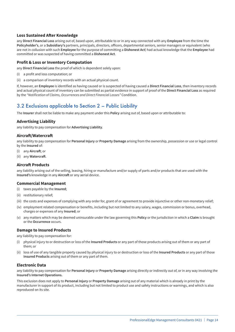#### **Loss Sustained After Knowledge**

any **Direct Financial Loss** arising out of, based upon, attributable to or in any way connected with any **Employee** from the time the **Policyholder's**, or a **Subsidiary's** partners, principals, directors, officers, departmental seniors, senior managers or equivalent (who are not in collusion with such **Employee** for the purpose of committing a **Dishonest Act**) had actual knowledge that the **Employee** had committed or was suspected of having committed a **Dishonest Act**.

#### **Profit & Loss or Inventory Computation**

any **Direct Financial Loss** the proof of which is dependent solely upon:

- (i) a profit and loss computation; or
- (ii) a comparison of inventory records with an actual physical count.

If, however, an **Employee** is identified as having caused or is suspected of having caused a **Direct Financial Loss**, then inventory records and actual physical count of inventory can be submitted as partial evidence in support of proof of the **Direct Financial Loss** as required by the *"Notification of Claims, Occurrences and Direct Financial Losses"* Condition.

### 3.2 Exclusions applicable to Section 2 – Public Liability

The **Insurer** shall not be liable to make any payment under this **Policy** arising out of, based upon or attributable to:

#### **Advertising Liability**

any liability to pay compensation for **Advertising Liability**.

#### **Aircraft/Watercraft**

any liability to pay compensation for **Personal Injury** or **Property Damage** arising from the ownership, possession or use or legal control by the **Insured** of:

- (i) any **Aircraft**; or
- (ii) any **Watercraft**.

#### **Aircraft Products**

any liability arising out of the selling, leasing, hiring or manufacture and/or supply of parts and/or products that are used with the **Insured's** knowledge in any **Aircraft** or any aerial device.

#### **Commercial Management**

- (i) taxes payable by the **Insured**;
- (ii) restitutionary relief;
- (iii) the costs and expenses of complying with any order for, grant of or agreement to provide injunctive or other non-monetary relief;
- (iv) employment related compensation or benefits, including but not limited to any salary, wages, commission or bonus, overhead, charges or expenses of any **Insured**; or
- (v) any matters which may be deemed uninsurable under the law governing this **Policy** or the jurisdiction in which a **Claim** is brought or the **Occurrence** occurs.

#### **Damage to Insured Products**

any liability to pay compensation for:

- (i) physical injury to or destruction or loss of the **Insured Products** or any part of those products arising out of them or any part of them; or
- (ii) loss of use of any tangible property caused by physical injury to or destruction or loss of the **Insured Products** or any part of those **Insured Products** arising out of them or any part of them.

#### **Electronic Data**

any liability to pay compensation for **Personal Injury** or **Property Damage** arising directly or indirectly out of, or in any way involving the **Insured's Internet Operations.**

This exclusion does not apply to **Personal Injury** or **Property Damage** arising out of any material which is already in print by the manufacturer in support of its product, including but not limited to product use and safety instructions or warnings, and which is also reproduced on its site.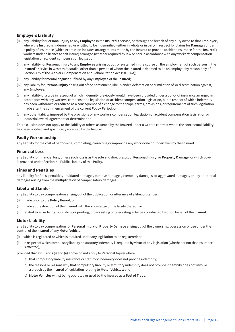#### **Employers Liability**

- (i) any liability for **Personal Injury** to any **Employee** in the **Insured's** service, or through the breach of any duty owed to that **Employee,** where the **Insured** is indemnified or entitled to be indemnified (either in whole or in part) in respect for claims for **Damages** under a policy of insurance (which expression includes arrangements made by the **Insured** to provide accident insurance for the **Insured's** workers under a licence to self insure) arranged (whether required by law or not) in accordance with any workers' compensation legislation or accident compensation legislation;
- (ii) any liability for **Personal Injury** to any **Employee** arising out of, or sustained in the course of, the employment of such person in the **Insured**'s service in Western Australia, other than a person of whom the **Insured** is deemed to be an employer by reason only of Section 175 of the Workers' Compensation and Rehabilitation Act 1981 (WA);
- (iii) any liability for mental anguish suffered by any **Employee** of the **Insured**;
- (iv) any liability for **Personal Injury** arising out of the harassment, libel, slander, defamation or humiliation of, or discrimination against, any **Employee**;
- (v) any liability of a type in respect of which indemnity previously would have been provided under a policy of insurance arranged in accordance with any workers' compensation legislation or accident compensation legislation, but in respect of which indemnity has been withdrawn or reduced as a consequence of a change to the scope, terms, provisions, or requirements of such legislation made after the commencement of the current **Policy Period**; or
- (vi) any other liability imposed by the provisions of any workers compensation legislation or accident compensation legislation or industrial award, agreement or determination.

This exclusion does not apply to the liability of others assumed by the **Insured** under a written contract where the contractual liability has been notified and specifically accepted by the **Insurer**.

#### **Faulty Workmanship**

any liability for the cost of performing, completing, correcting or improving any work done or undertaken by the **Insured**.

#### **Financial Loss**

any liability for financial loss, unless such loss is as the sole and direct result of **Personal Injury**, or **Property Damage** for which cover is provided under Section 2 – Public Liability of this **Policy**.

#### **Fines and Penalties**

any liability for fines, penalties, liquidated damages, punitive damages, exemplary damages, or aggravated damages, or any additional damages arising from the multiplication of compensatory damages.

#### **Libel and Slander**

any liability to pay compensation arising out of the publication or utterance of a libel or slander:

- (i) made prior to the **Policy Period**; or
- (ii) made at the direction of the **Insured** with the knowledge of the falsity thereof; or
- (iii) related to advertising, publishing or printing, broadcasting or telecasting activities conducted by or on behalf of the **Insured**.

#### **Motor Liability**

any liability to pay compensation for **Personal Injury** or **Property Damage** arising out of the ownership, possession or use under the control of the **Insured** of any **Motor Vehicle**:

- (i) which is registered or which is required under any legislation to be registered; or
- (ii) in respect of which compulsory liability or statutory indemnity is required by virtue of any legislation (whether or not that insurance is effected),

provided that exclusions (i) and (ii) above do not apply to **Personal Injury** where:

- (a) that compulsory liability insurance or statutory indemnity does not provide indemnity;
- (b) the reasons or reasons why that compulsory liability or statutory indemnity does not provide indemnity does not involve a breach by the **Insured** of legislation relating to **Motor Vehicles**; and
- (c) **Motor Vehicles** whilst being operated or used by the **Insured** as a **Tool of Trade**.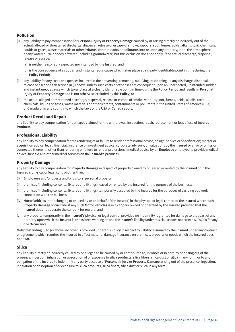#### **Pollution**

- (i) any liability to pay compensation for **Personal Injury** or **Property Damage** caused by or arising directly or indirectly out of the actual, alleged or threatened discharge, dispersal, release or escape of smoke, vapours, soot, fumes, acids, alkalis, toxic chemicals, liquids or gases, waste materials or other irritants, contaminants or pollutants into or upon any property, land, the atmosphere or any watercourse or body of water (including groundwater) but this exclusion does not apply if the actual discharge, dispersal, release or escape:
	- (a) is neither reasonably expected nor intended by the **Insured**; and
	- (b) is the consequence of a sudden and instantaneous cause which takes place at a clearly identifiable point in time during the **Policy Period**;
- (ii) any liability for any costs or expenses incurred in the preventing, removing, nullifying, or cleaning up any discharge, dispersal, release or escape as described in (i) above, unless such costs or expenses are consequent upon an unexpected, unintended sudden and instantaneous cause which takes place at a clearly identifiable point in time during the **Policy Period** and results in **Personal Injury** or **Property Damage** and is not otherwise excluded by this **Policy**; or
- (iii) the actual alleged or threatened discharge, dispersal, release or escape of smoke, vapours, soot, fumes, acids, alkalis, toxic chemicals, liquids or gases, waste materials or other irritants, contaminants or pollutants in the United States of America (USA) or Canada or in any country to which the laws of the USA or Canada apply.

#### **Product Recall and Repair**

any liability to pay compensation for damages claimed for the withdrawal, inspection, repair, replacement or loss of use of **Insured Products**.

#### **Professional Liability**

any liability to pay compensation for the rendering of or failure to render professional advice, design, service or specification; merger or acquisition advice; legal, financial, insurance or investment advice; corporate advisory; or valuations by the **Insured** or error or omission connected therewith other than rendering or failure to render professional medical advice by an **Employee** employed to provide medical advice, first aid and other medical services on the **Insured's** premises.

#### **Property Damage**

any liability to pay compensation for **Property Damage** in respect of property owned by or leased or rented by the **Insured** or in the **Insured's** physical or legal control other than:

- (i) **Employees** and/or guests and/or visitors' personal property;
- (ii) premises (including contents, fixtures and fittings) leased or rented by the **Insured** for the purpose of the business;
- (iii) premises (including contents, fixtures and fittings) temporarily occupied by the **Insured** for the purposes of carrying out work in connection with the business;
- (iv) **Motor Vehicles** (not belonging to or used by or on behalf of the **Insured**) in the physical or legal control of the **Insured** where such **Property Damage** occurs whilst any such **Motor Vehicles** is in a car park owned or operated by the **Insured** provided that the **Insured** does not operate the car park for reward; and
- (v) any property temporarily in the **Insured's** physical or legal control provided no indemnity is granted for damage to that part of any property upon which the **Insured** is or has been working on and the **Insurer's** liability under this clause does not exceed \$100,000 for any one **Occurrence**.

Notwithstanding (i) to (v) above, no cover is provided under this **Policy** in respect to liability assumed by the **Insured** under any contract or agreement which requires the **Insured** to effect material damage insurance on premises, property or goods which the **Insured** does not own.

#### **Silica**

any liability directly or indirectly caused by or alleged to be caused by or contributed to, in whole or in part, by or arising out of the presence, ingestion, inhalation or absorption of or exposure to silica products, silica fibers, silica dust or silica in any form, or to any obligation of the **Insured** to indemnify any party because of **Personal Injury** or **Property Damage** arising out of the presence, ingestion, inhalation or absorption of or exposure to silica products, silica fibers, silica dust or silica in any form.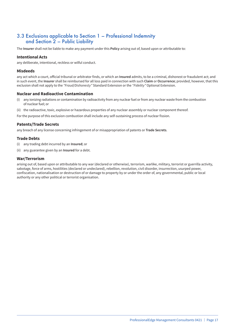### 3.3 Exclusions applicable to Section 1 – Professional Indemnity and Section 2 – Public Liability

The **Insurer** shall not be liable to make any payment under this **Policy** arising out of, based upon or attributable to:

#### **Intentional Acts**

any deliberate, intentional, reckless or wilful conduct.

#### **Misdeeds**

any act which a court, official tribunal or arbitrator finds, or which an **Insured** admits, to be a criminal, dishonest or fraudulent act; and in such event, the **Insurer** shall be reimbursed for all loss paid in connection with such **Claim** or **Occurrence**; provided, however, that this exclusion shall not apply to the *"Fraud/Dishonesty"* Standard Extension or the *"Fidelity"* Optional Extension.

#### **Nuclear and Radioactive Contamination**

- (i) any ionizing radiations or contamination by radioactivity from any nuclear fuel or from any nuclear waste from the combustion of nuclear fuel; or
- (ii) the radioactive, toxic, explosive or hazardous properties of any nuclear assembly or nuclear component thereof.
- For the purpose of this exclusion combustion shall include any self-sustaining process of nuclear fission.

#### **Patents/Trade Secrets**

any breach of any license concerning infringement of or misappropriation of patents or **Trade Secrets**.

#### **Trade Debts**

- (i) any trading debt incurred by an **Insured**; or
- (ii) any guarantee given by an **Insured** for a debt.

#### **War/Terrorism**

arising out of, based upon or attributable to any war (declared or otherwise), terrorism, warlike, military, terrorist or guerrilla activity, sabotage, force of arms, hostilities (declared or undeclared), rebellion, revolution, civil disorder, insurrection, usurped power, confiscation, nationalisation or destruction of or damage to property by or under the order of, any governmental, public or local authority or any other political or terrorist organisation.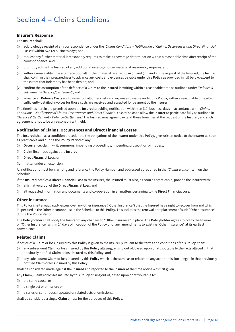## Section 4 – Claims Conditions

#### **Insurer's Response**

The **Insurer** shall:

- (i) acknowledge receipt of any correspondence under the '*Claims Conditions Notification of Claims, Occurrences and Direct Financial Losses'* within two (2) business days; and
- (ii) request any further material it reasonably requires to make its coverage determination within a reasonable time after receipt of the correspondence; and
- (iii) promptly advise the **Insured** of any additional investigation or material it reasonably requires; and
- (iv) within a reasonable time after receipt of all further material referred to in (ii) and (iii); and at the request of the **Insured**, the **Insurer** shall confirm their preparedness to advance any costs and expenses payable under this **Policy** as provided in (vi) below, except to the extent that indemnity has been denied; and
- (v) confirm the assumption of the defence of a **Claim** to the **Insured** in writing within a reasonable time as outlined under *'Defence & Settlement – Defence/Settlement'*; and
- (vi) advance all **Defence Costs** and payment of all other costs and expenses payable under this **Policy**, within a reasonable time after sufficiently detailed invoices for those costs are received and accepted for payment by the **Insurer**.

The timelines herein are premised upon the **Insured** providing notification within ten (10) business days in accordance with *'Claims Conditions – Notification of Claims, Occurrences and Direct Financial Losses'* so as to allow the **Insurer** to participate fully as outlined in *'Defence & Settlement – Defence/Settlement.'* The **Insured** may agree to extend these timelines at the request of the **Insurer**, and such agreement is not to be unreasonably withheld.

#### **Notification of Claims, Occurrences and Direct Financial Losses**

The **Insured** shall, as a condition precedent to the obligations of the **Insurer** under this **Policy**, give written notice to the **Insurer** as soon as practicable and during the **Policy Period** of any:

- (i) **Occurrence**, claim, writ, summons, impending proceedings, impending prosecution or inquest;
- (ii) **Claim** first made against the **Insured**;
- (iii) **Direct Financial Loss**; or
- (iv) matter under an extension.

All notifications must be in writing and reference the Policy Number, and addressed as required in the *"Claims Notice"* Item on the Schedule.

If the **Insured** notifies a **Direct Financial Loss** to the **Insurer**, the **Insured** must also, as soon as practicable, provide the **Insurer** with:

- (i) affirmative proof of the **Direct Financial Loss**; and
- (ii) all requested information and documents and co-operation in all matters pertaining to the **Direct Financial Loss**.

#### **Other Insurance**

This **Policy** shall always apply excess over any other insurance ("Other Insurance") that the **Insured** has a right to recover from and which is specified in the Other Insurance List in the Schedule to this **Policy**. This includes the renewal or replacement of such "Other Insurance" during the **Policy Period**.

The **Policyholder** shall notify the **Insurer** of any changes to "Other Insurance" in place. The **Policyholder** agrees to notify the **Insurer** of "Other Insurance" within 14 days of inception of the **Policy** or of any amendments to existing "Other Insurance" at its earliest convenience.

#### **Related Claims**

If notice of a **Claim** or loss insured by this **Policy** is given to the **Insurer** pursuant to the terms and conditions of this **Policy**, then:

- (i) any subsequent **Claim** or loss insured by this **Policy** alleging, arising out of, based upon or attributable to the facts alleged in that previously notified **Claim** or loss insured by this **Policy**; and
- (ii) any subsequent **Claim** or loss insured by this **Policy** which is the same as or related to any act or omission alleged in that previously notified **Claim** or loss insured by this **Policy**,

shall be considered made against the **Insured** and reported to the **Insurer** at the time notice was first given.

- Any **Claim**, **Claims** or losses insured by this **Policy** arising out of, based upon or attributable to:
- (i) the same cause; or
- (ii) a single act or omission; or
- (iii) a series of continuous, repeated or related acts or omissions,

shall be considered a single **Claim** or loss for the purposes of this **Policy**.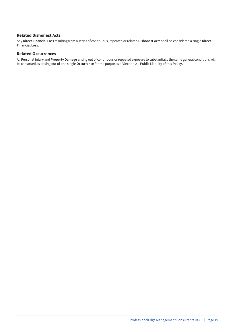#### **Related Dishonest Acts**

Any **Direct Financial Loss** resulting from a series of continuous, repeated or related **Dishonest Acts** shall be considered a single **Direct Financial Loss**.

#### **Related Occurrences**

All **Personal Injury** and **Property Damage** arising out of continuous or repeated exposure to substantially the same general conditions will be construed as arising out of one single **Occurrence** for the purposes of Section 2 – Public Liability of this **Policy**.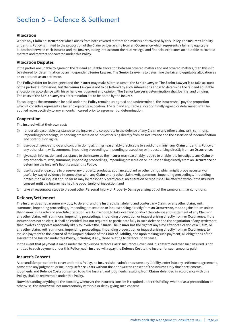## Section 5 – Defence & Settlement

#### **Allocation**

Where any **Claim** or **Occurrence** which arises from both covered matters and matters not covered by this **Policy**, the **Insurer's** liability under this **Policy** is limited to the proportion of the **Claim** or loss arising from an **Occurrence** which represents a fair and equitable allocation between each **Insured** and the **Insurer**, taking into account the relative legal and financial exposures attributable to covered matters and matters not covered under this **Policy**.

#### **Allocation Disputes**

If the parties are unable to agree on the fair and equitable allocation between covered matters and not covered matters, then this is to be referred for determination by an independent **Senior Lawyer**. The **Senior Lawyer** is to determine the fair and equitable allocation as an expert, not as an arbitrator.

The **Policyholder** (or its designee) and the **Insurer** may make submissions to the **Senior Lawyer**. The **Senior Lawyer** is to take account of the parties' submissions, but the **Senior Lawyer** is not to be fettered by such submissions and is to determine the fair and equitable allocation in accordance with his or her own judgment and opinion. The **Senior Lawyer's** determination shall be final and binding. The costs of the **Senior Lawyer's** determination are to be borne by the **Insurer**.

For so long as the amounts to be paid under the **Policy** remains un-agreed and undetermined, the **Insurer** shall pay the proportion which it considers represents a fair and equitable allocation. The fair and equitable allocation finally agreed or determined shall be applied retrospectively to any amounts incurred prior to agreement or determination.

#### **Cooperation**

The **Insured** will at their own cost:

- (i) render all reasonable assistance to the **Insurer** and co-operate in the defence of any **Claim** or any other claim, writ, summons, impending proceedings, impending prosecution or inquest arising directly from an **Occurrence** and the assertion of indemnification and contribution rights;
- (ii) use due diligence and do and concur in doing all things reasonably practicable to avoid or diminish any **Claim** under this **Policy** or any other claim, writ, summons, impending proceedings, impending prosecution or inquest arising directly from an **Occurrence**;
- (iii) give such information and assistance to the **Insurer** as the **Insurer** may reasonably require to enable it to investigate any **Claim** or any other claim, writ, summons, impending proceedings, impending prosecution or inquest arising directly from an **Occurrence** or determine the **Insurer's** liability under this **Policy**;
- (iv) use its best endeavours to preserve any property, products, appliances, plant or other things which might prove necessary or useful by way of evidence in connection with any **Claim** or any other claim, writ, summons, impending proceedings, impending prosecution or inquest and, so far as may be reasonably practicable, no alteration or repair shall be effected without the **Insurer's** consent until the **Insurer** has had the opportunity of inspection; and
- (v) take all reasonable steps to prevent other **Personal Injury** or **Property Damage** arising out of the same or similar conditions.

#### **Defence/Settlement**

The **Insurer** does not assume any duty to defend, and the **Insured** shall defend and contest any **Claim**, or any other claim, writ, summons, impending proceedings, impending prosecution or inquest arising directly from an **Occurrence**, made against them unless the **Insurer**, in its sole and absolute discretion, elects in writing to take over and conduct the defence and settlement of any **Claim** or any other claim, writ, summons, impending proceedings, impending prosecution or inquest arising directly from an **Occurrence**. If the **Insurer** does not so elect, it shall be entitled, but not required, to participate fully in such defence and the negotiation of any settlement that involves or appears reasonably likely to involve the **Insurer**. The **Insurer** has the right at any time after notification of a **Claim**, or any other claim, writ, summons, impending proceedings, impending prosecution or inquest arising directly from an **Occurrence**, to make a payment to the **Insured** of the unpaid balance of the **Limit of Liability**, and upon making such payment, all obligations of the **Insurer** to the **Insured** under this **Policy**, including, if any, those relating to defence, shall cease.

In the event that payment is made under the *"Advanced Defence Costs"* Insurance Cover, and it is determined that such **Insured** is not entitled to such payment under this **Policy**, each **Insured** will repay the **Defence Cost** to the **Insurer** for such amounts paid.

#### **Insurer's Consent**

As a condition precedent to cover under this **Policy**, no **Insured** shall admit or assume any liability, enter into any settlement agreement, consent to any judgment, or incur any **Defence Costs** without the prior written consent of the **Insurer**. Only those settlements, judgments and **Defence Costs** consented to by the **Insurer**, and judgments resulting from **Claims** defended in accordance with this **Policy**, shall be recoverable under this **Policy**.

Notwithstanding anything to the contrary, whenever the **Insurer's** consent is required under this **Policy**, whether as a precondition or otherwise, the **Insurer** will not unreasonably withhold or delay giving such consent.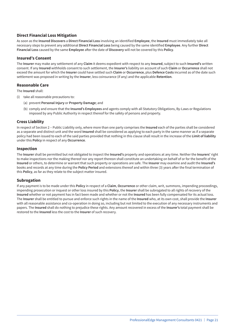#### **Direct Financial Loss Mitigation**

As soon as the **Insured Discovers** a **Direct Financial Loss** involving an identified **Employee**, the **Insured** must immediately take all necessary steps to prevent any additional **Direct Financial Loss** being caused by the same identified **Employee**. Any further **Direct Financial Loss** caused by the same **Employee** after the date of **Discovery** will not be covered by this **Policy**.

#### **Insured's Consent**

The **Insurer** may make any settlement of any **Claim** it deems expedient with respect to any **Insured**, subject to such **Insured's** written consent. If any **Insured** withholds consent to such settlement, the **Insurer's** liability on account of such **Claim** or **Occurrence** shall not exceed the amount for which the **Insurer** could have settled such **Claim** or **Occurrence**, plus **Defence Costs** incurred as of the date such settlement was proposed in writing by the **Insurer**, less coinsurance (if any) and the applicable **Retention**.

#### **Reasonable Care**

The **Insured** shall:

- (i) take all reasonable precautions to:
	- (a) prevent **Personal Injury** or **Property Damage**; and
	- (b) comply and ensure that the **Insured's Employees** and agents comply with all Statutory Obligations, By-Laws or Regulations imposed by any Public Authority in respect thereof for the safety of persons and property.

#### **Cross Liability**

In respect of Section 2 – Public Liability only, where more than one party comprises the **Insured** each of the parties shall be considered as a separate and distinct unit and the word **Insured** shall be considered as applying to each party in the same manner as if a separate policy had been issued to each of the said parties provided that nothing in this clause shall result in the increase of the **Limit of liability** under this **Policy** in respect of any **Occurrence**.

#### **Inspection**

The **Insurer** shall be permitted but not obligated to inspect the **Insured's** property and operations at any time. Neither the **Insurers'** right to make inspections nor the making thereof nor any report thereon shall constitute an undertaking on behalf of or for the benefit of the **Insured** or others, to determine or warrant that such property or operations are safe. The **Insurer** may examine and audit the **Insured's** books and records at any time during the **Policy Period** and extensions thereof and within three (3) years after the final termination of this **Policy**, as far as they relate to the subject matter insured.

#### **Subrogation**

If any payment is to be made under this **Policy** in respect of a **Claim**, **Occurrence** or other claim, writ, summons, impending proceedings, impending prosecution or inquest or other loss insured by this **Policy**, the **Insurer** shall be subrogated to all rights of recovery of the **Insured** whether or not payment has in fact been made and whether or not the **Insured** has been fully compensated for its actual loss. The **Insurer** shall be entitled to pursue and enforce such rights in the name of the **Insured** who, at its own cost, shall provide the **Insurer** with all reasonable assistance and co-operation in doing so, including but not limited to the execution of any necessary instruments and papers. The **Insured** shall do nothing to prejudice these rights. Any amount recovered in excess of the **Insurer's** total payment shall be restored to the **Insured** less the cost to the **Insurer** of such recovery.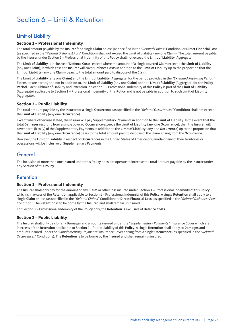## Section 6 – Limit & Retention

## Limit of Liability

#### **Section 1 – Professional Indemnity**

The total amount payable by the **Insurer** for a single **Claim** or loss (as specified in the *"Related Claims"* Condition) or **Direct Financial Loss** (as specified in the *"Related Dishonest Acts"* Condition) shall not exceed the Limit of Liability (any one **Claim**). The total amount payable by the **Insurer** under Section 1 – Professional Indemnity of this **Policy** shall not exceed the **Limit of Liability** (Aggregate).

The **Limit of Liability** is inclusive of **Defence Costs**, except where the amount of a single covered **Claim** exceeds the **Limit of Liability** (any one **Claim**), in which case the **Insurer** will cover **Defence Costs** in addition to the **Limit of Liability** up to the proportion that the **Limit of Liability** (any one **Claim**) bears to the total amount paid to dispose of the **Claim**.

The **Limit of Liability** (any one **Claim**) and the **Limit of Liability** (Aggregate) for the period provided in the *"Extended Reporting Period"* Extension are part of, and not in addition to, the **Limit of Liability** (any one **Claim**) and the **Limit of Liability** (Aggregate) for the **Policy Period**. Each Sublimit of Liability and Extension in Section 1 – Professional Indemnity of this **Policy** is part of the **Limit of Liability** (Aggregate) applicable to Section 1 – Professional Indemnity of this **Policy** and is not payable in addition to such **Limit of Liability** (Aggregate).

#### **Section 2 – Public Liability**

The total amount payable by the **Insurer** for a single **Occurrence** (as specified in the *"Related Occurrences"* Condition) shall not exceed the **Limit of Liability** (any one **Occurrence**).

Except where otherwise stated, the **Insurer** will pay Supplementary Payments in addition to the **Limit of Liability**. In the event that the total **Damages** resulting from a single covered **Occurrence** exceeds the **Limit of Liability** (any one **Occurrence**), then the **Insurer** will cover parts (i) to (v) of the Supplementary Payments in addition to the **Limit of Liability** (any one **Occurrence**) up to the proportion that the **Limit of Liability** (any one **Occurrence**) bears to the total amount paid to dispose of the claim arising from the **Occurrence**.

However, the **Limit of Liability** in respect of **Occurrences** in the United States of America or Canada or any of their territories or possessions will be inclusive of Supplementary Payments.

### General

The inclusion of more than one **Insured** under this **Policy** does not operate to increase the total amount payable by the **Insurer** under any Section of this **Policy**.

### Retention

#### **Section 1 – Professional Indemnity**

The **Insurer** shall only pay for the amount of any **Claim** or other loss insured under Section 1 – Professional Indemnity of this **Policy** which is in excess of the **Retention** applicable to Section 1 – Professional Indemnity of this **Policy**. A single **Retention** shall apply to a single **Claim** or loss (as specified in the *"Related Claims"* Condition) or **Direct Financial Loss** (as specified in the *"Related Dishonest Acts"* Condition). The **Retention** is to be borne by the **Insured** and shall remain uninsured.

For Section 1 – Professional Indemnity of the **Policy** only, the **Retention** is exclusive of **Defence Costs**.

#### **Section 2 – Public Liability**

The **Insurer** shall only pay for any **Damages** and amounts insured under the *"Supplementary Payments"* Insurance Cover which are in excess of the **Retention** applicable to Section 2 – Public Liability of this **Policy**. A single **Retention** shall apply to **Damages** and amounts insured under the *"Supplementary Payments"* Insurance Cover arising from a single **Occurrence** (as specified in the *"Related Occurrences"* Conditions). The **Retention** is to be borne by the **Insured** and shall remain uninsured.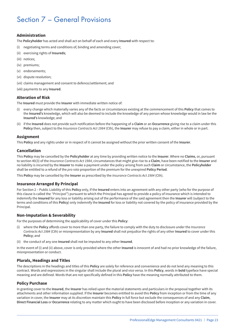## Section 7 – General Provisions

#### **Administration**

The **Policyholder** has acted and shall act on behalf of each and every **Insured** with respect to:

- (i) negotiating terms and conditions of, binding and amending cover;
- (ii) exercising rights of **Insureds**;
- (iii) notices;
- (iv) premiums;
- (v) endorsements;
- (vi) dispute resolution;
- (vii) claims management and consent to defence/settlement; and
- (viii) payments to any **Insured**.

#### **Alteration of Risk**

The **Insured** must provide the **Insurer** with immediate written notice of:

- (i) every change which materially varies any of the facts or circumstances existing at the commencement of this **Policy** that comes to the **Insured's** knowledge, which will also be deemed to include the knowledge of any person whose knowledge would in law be the **Insured's** knowledge; and
- (ii) if the **Insured** does not provide such notification before the happening of a **Claim** or an **Occurrence** giving rise to a claim under this **Policy** then, subject to the *Insurance Contracts Act 1984* (Cth), the **Insurer** may refuse to pay a claim, either in whole or in part.

#### **Assignment**

This **Policy** and any rights under or in respect of it cannot be assigned without the prior written consent of the **Insurer**.

#### **Cancellation**

This **Policy** may be cancelled by the **Policyholder** at any time by providing written notice to the **Insurer**. Where no **Claims**, or, pursuant to section 40(3) of the *Insurance Contracts Act 1984*, circumstances that might give rise to a **Claim**, have been notified to the **Insurer** and no liability is incurred by the **Insurer** to make a payment under the policy arising from such **Claim** or circumstance, the **Policyholder** shall be entitled to a refund of the *pro rata* proportion of the premium for the unexpired **Policy Period**.

This **Policy** may be cancelled by the **Insurer** as prescribed by the *Insurance Contracts Act 1984* (Cth).

#### **Insurance Arranged By Principal**

For Section 2 – Public Liability of this **Policy** only, If the **Insured** enters into an agreement with any other party (who for the purpose of this clause is called the *"Principal"*) pursuant to which the Principal has agreed to provide a policy of insurance which is intended to indemnify the **Insured** for any loss or liability arising out of the performance of the said agreement then the **Insurer** will (subject to the terms and conditions of this **Policy**) only indemnify the **Insured** for loss or liability not covered by the policy of insurance provided by the Principal.

#### **Non-Imputation & Severability**

For the purposes of determining the applicability of cover under this **Policy**:

- (i) where the **Policy** affords cover to more than one party, the failure to comply with the duty to disclosure under the *Insurance Contracts Act 1984* (Cth) or misrepresentation by any **Insured** shall not prejudice the rights of any other **Insured** to cover under this **Policy**; and
- (ii) the conduct of any one **Insured** shall not be imputed to any other **Insured**.

In the event of (i) and (ii) above, cover is only provided where the other **Insured** is innocent of and had no prior knowledge of the failure, misrepresentation or conduct.

#### **Plurals, Headings and Titles**

The descriptions in the headings and titles of this **Policy** are solely for reference and convenience and do not lend any meaning to this contract. Words and expressions in the singular shall include the plural and vice versa. In this **Policy**, words in **bold** typeface have special meaning and are defined. Words that are not specifically defined in this **Policy** have the meaning normally attributed to them.

#### **Policy Purchase**

In granting cover to the **Insured**, the **Insurer** has relied upon the material statements and particulars in the proposal together with its attachments and other information supplied. If the **Insurer** becomes entitled to avoid this **Policy** from inception or from the time of any variation in cover, the **Insurer** may at its discretion maintain this **Policy** in full force but exclude the consequences of and any **Claim**, **Direct Financial Loss** or **Occurrence** relating to any matter which ought to have been disclosed before inception or any variation in cover.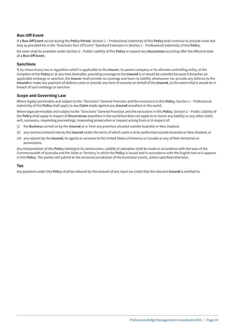#### **Run-Off Event**

If a **Run-Off Event** occurs during the **Policy Period**, Section 1 – Professional Indemnity of this **Policy** shall continue to provide cover but only as provided for in the *"Automatic Run-Off Event"* Standard Extension in Section 1 – Professional Indemnity of this **Policy**.

No cover shall be available under Section 2 – Public Liability of this **Policy** in respect any **Occurrence** occurring after the effective date of a **Run-Off Event**.

#### **Sanctions**

If, by virtue of any law or regulation which is applicable to the **Insurer**, its parent company or its ultimate controlling entity, at the inception of the **Policy** or at any time thereafter, providing coverage to the **Insured** is or would be unlawful because it breaches an applicable embargo or sanction, the **Insurer** shall provide no coverage and have no liability whatsoever nor provide any defence to the **Insured** or make any payment of defence costs or provide any form of security on behalf of the **Insured**, to the extent that it would be in breach of such embargo or sanction.

#### **Scope and Governing Law**

Where legally permissible and subject to the *"Sanctions"* General Provision and the exclusions in this **Policy**, Section 1 – Professional Indemnity of this **Policy** shall apply to any **Claim** made against any **Insured** anywhere in the world.

Where legal permissible and subject to the *"Sanctions"* General Provision and the exclusions in this **Policy**, Section 2 – Public Liability of the **Policy** shall apply in respect of **Occurrences** anywhere in the world but does not apply to or insure any liability or any other claim, writ, summons, impending proceedings, impending prosecution or inquest arising from or in respect of:

- (i) the **Business** carried on by the **Insured** at or from any premises situated outside Australia or New Zealand,
- (ii) any contract entered into by the **Insured** under the terms of which work is to be performed outside Australia or New Zealand, or
- (iii) any exports by the **Insured**, its agents or servants to the United States of America or Canada or any of their territories or possessions.

Any interpretation of this **Policy** relating to its construction, validity or operation shall be made in accordance with the laws of the Commonwealth of Australia and the State or Territory in which the **Policy** is issued and in accordance with the English text as it appears in this **Policy**. The parties will submit to the exclusive jurisdiction of the Australian courts, unless specified otherwise.

#### **Tax**

Any payment under this **Policy** shall be reduced by the amount of any input tax credit that the relevant **Insured** is entitled to.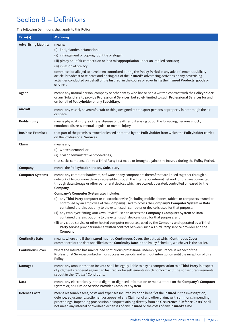## Section 8 – Definitions

#### The following Definitions shall apply to this **Policy**:

| Term(s)                      | <b>Meaning</b>                                                                                                                                                                                                                                                                                                                                                                                                                                                                                                                                                                                                                                                                                                                                                                                                                                                                                                                                                                                                                                                                                                         |
|------------------------------|------------------------------------------------------------------------------------------------------------------------------------------------------------------------------------------------------------------------------------------------------------------------------------------------------------------------------------------------------------------------------------------------------------------------------------------------------------------------------------------------------------------------------------------------------------------------------------------------------------------------------------------------------------------------------------------------------------------------------------------------------------------------------------------------------------------------------------------------------------------------------------------------------------------------------------------------------------------------------------------------------------------------------------------------------------------------------------------------------------------------|
| <b>Advertising Liability</b> | means:<br>(i) libel, slander, defamation;<br>(ii) infringement or copyright of title or slogan;<br>(iii) piracy or unfair competition or idea misappropriation under an implied contract;<br>(iv) invasion of privacy,<br>committed or alleged to have been committed during the Policy Period in any advertisement, publicity<br>article, broadcast or telecast and arising out of the Insured's advertising activities or any advertising<br>activities conducted on behalf of the Insured, in the course of advertising the Insured Products, goods or<br>services.                                                                                                                                                                                                                                                                                                                                                                                                                                                                                                                                                 |
| Agent                        | means any natural person, company or other entity who has or had a written contract with the Policyholder<br>or any Subsidiary to provide Professional Services, but solely limited to such Professional Services for and<br>on behalf of Policyholder or any Subsidiary.                                                                                                                                                                                                                                                                                                                                                                                                                                                                                                                                                                                                                                                                                                                                                                                                                                              |
| Aircraft                     | means any vessel, hovercraft, craft or thing designed to transport persons or property in or through the air<br>or space.                                                                                                                                                                                                                                                                                                                                                                                                                                                                                                                                                                                                                                                                                                                                                                                                                                                                                                                                                                                              |
| <b>Bodily Injury</b>         | means physical injury, sickness, disease or death; and if arising out of the foregoing, nervous shock,<br>emotional distress, mental anguish or mental injury.                                                                                                                                                                                                                                                                                                                                                                                                                                                                                                                                                                                                                                                                                                                                                                                                                                                                                                                                                         |
| <b>Business Premises</b>     | that part of the premises owned or leased or rented by the Policyholder from which the Policyholder carries<br>on the Professional Services.                                                                                                                                                                                                                                                                                                                                                                                                                                                                                                                                                                                                                                                                                                                                                                                                                                                                                                                                                                           |
| Claim                        | means any:<br>(i) written demand; or<br>(ii) civil or administrative proceedings,<br>that seeks compensation to a Third Party first made or brought against the Insured during the Policy Period.                                                                                                                                                                                                                                                                                                                                                                                                                                                                                                                                                                                                                                                                                                                                                                                                                                                                                                                      |
| Company                      | means the Policyholder and any Subsidiary.                                                                                                                                                                                                                                                                                                                                                                                                                                                                                                                                                                                                                                                                                                                                                                                                                                                                                                                                                                                                                                                                             |
| <b>Computer Systems</b>      | means any computer hardware, software or any components thereof that are linked together through a<br>network of two or more devices accessible through the Internet or internal network or that are connected<br>through data storage or other peripheral devices which are owned, operated, controlled or leased by the<br>Company.<br>Company's Computer System also includes:<br>(i) any Third Party computer or electronic device (including mobile phones, tablets or computers owned or<br>controlled by an employee of the Company) used to access the Company's Computer System or Data<br>contained therein, but only to the extent such computer or device is used for that purpose;<br>(ii) any employee "Bring Your Own Device" used to access the Company's Computer System or Data<br>contained therein, but only to the extent such device is used for that purpose; and<br>(iii) any cloud service or other hosted computer resources, used by the Company and operated by a Third<br>Party service provider under a written contract between such a Third Party service provider and the<br>Company. |
| <b>Continuity Date</b>       | means, where and if the Insured has had Continuous Cover, the date at which Continuous Cover<br>commenced or the date specified as the Continuity Date in the Policy Schedule, whichever is the earlier.                                                                                                                                                                                                                                                                                                                                                                                                                                                                                                                                                                                                                                                                                                                                                                                                                                                                                                               |
| <b>Continuous Cover</b>      | where the Insured has maintained continuous professional indemnity insurance in respect of the<br>Professional Services, unbroken for successive periods and without interruption until the inception of this<br>Policy.                                                                                                                                                                                                                                                                                                                                                                                                                                                                                                                                                                                                                                                                                                                                                                                                                                                                                               |
| <b>Damages</b>               | means any amount that an Insured shall be legally liable to pay as compensation to a Third Party in respect<br>of judgments rendered against an Insured, or for settlements which conform with the consent requirements<br>set out in the "Claims" Conditions.                                                                                                                                                                                                                                                                                                                                                                                                                                                                                                                                                                                                                                                                                                                                                                                                                                                         |
| Data                         | means any electronically stored digital or digitised information or media stored on the Company's Computer<br>System or, an Outside Service Provider Computer System.                                                                                                                                                                                                                                                                                                                                                                                                                                                                                                                                                                                                                                                                                                                                                                                                                                                                                                                                                  |
| <b>Defence Costs</b>         | means reasonable fees, costs and expenses incurred by or on behalf of the Insured in the investigation,<br>defence, adjustment, settlement or appeal of any Claim or of any other claim, writ, summons, impending<br>proceedings, impending prosecution or inquest arising directly from an Occurrence. "Defence Costs" shall<br>not mean any internal or overhead expenses of any Insured or the costs of any Insured's time.                                                                                                                                                                                                                                                                                                                                                                                                                                                                                                                                                                                                                                                                                         |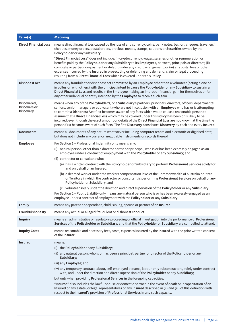| Term(s)                                         | <b>Meaning</b>                                                                                                                                                                                                                                                                                                                                                                                                                                                                                                                                                                                                                                                                   |
|-------------------------------------------------|----------------------------------------------------------------------------------------------------------------------------------------------------------------------------------------------------------------------------------------------------------------------------------------------------------------------------------------------------------------------------------------------------------------------------------------------------------------------------------------------------------------------------------------------------------------------------------------------------------------------------------------------------------------------------------|
| <b>Direct Financial Loss</b>                    | means direct financial loss caused by the loss of any currency, coins, bank notes, bullion, cheques, travellers'<br>cheques, money orders, postal orders, precious metals, stamps, coupons or Securities owned by the<br>Policyholder or any Subsidiary.                                                                                                                                                                                                                                                                                                                                                                                                                         |
|                                                 | "Direct Financial Loss" does not include: (i) cryptocurrency, wages, salaries or other remuneration or<br>benefits paid by the Policyholder or any Subsidiary to its Employees, partners, principals or directors; (ii)<br>complete or partial non-payment or default under any credit arrangement; or (iii) any costs, fees or other<br>expenses incurred by the Insured in prosecuting or defending any demand, claim or legal proceeding<br>resulting from a Direct Financial Loss which is covered under this Policy.                                                                                                                                                        |
| <b>Dishonest Act</b>                            | means any fraudulent or dishonest act committed by an Employee other than a volunteer (acting alone or<br>in collusion with others) with the principal intent to cause the Policyholder or any Subsidiary to sustain a<br>Direct Financial Loss and results in the Employee making an improper financial gain for themselves or for<br>any other individual or entity intended by the Employee to receive such gain.                                                                                                                                                                                                                                                             |
| Discovered,<br>Discovers or<br><b>Discovery</b> | means when any of the Policyholder's, or a Subsidiary's partners, principals, directors, officers, departmental<br>seniors, senior managers or equivalent (who are not in collusion with an Employee who has or is attempting<br>to commit a Dishonest Act) first becomes aware of any facts which would cause a reasonable person to<br>assume that a Direct Financial Loss which may be covered under this Policy has been or is likely to be<br>incurred, even though the exact amount or details of the Direct Financial Loss are not known at the time the<br>person first became aware of such facts. The first Discovery constitutes Discovery by each and every Insured. |
| <b>Documents</b>                                | means all documents of any nature whatsoever including computer record and electronic or digitised data;<br>but does not include any currency, negotiable instruments or records thereof.                                                                                                                                                                                                                                                                                                                                                                                                                                                                                        |
| Employee                                        | For Section 1 - Professional Indemnity only means any:                                                                                                                                                                                                                                                                                                                                                                                                                                                                                                                                                                                                                           |
|                                                 | (i) natural person, other than a director partner or principal, who is or has been expressly engaged as an<br>employee under a contract of employment with the Policyholder or any Subsidiary; and                                                                                                                                                                                                                                                                                                                                                                                                                                                                               |
|                                                 | (ii) contractor or consultant who:<br>(a) has a written contract with the Policyholder or Subsidiary to perform Professional Services solely for                                                                                                                                                                                                                                                                                                                                                                                                                                                                                                                                 |
|                                                 | and on behalf of an Insured;                                                                                                                                                                                                                                                                                                                                                                                                                                                                                                                                                                                                                                                     |
|                                                 | (b) a deemed worker under the workers compensation laws of the Commonwealth of Australia or State<br>or Territory in which the contractor or consultant is performing Professional Services on behalf of any<br>Policyholder or Subsidiary; and                                                                                                                                                                                                                                                                                                                                                                                                                                  |
|                                                 | (c) volunteer solely under the direction and direct supervision of the Policyholder or any Subsidiary.                                                                                                                                                                                                                                                                                                                                                                                                                                                                                                                                                                           |
|                                                 | For Section 2 - Public Liability only means any natural person who is or has been expressly engaged as an<br>employee under a contract of employment with the Policyholder or any Subsidiary.                                                                                                                                                                                                                                                                                                                                                                                                                                                                                    |
| Family                                          | means any parent or dependant, child, sibling, spouse or partner of an Insured.                                                                                                                                                                                                                                                                                                                                                                                                                                                                                                                                                                                                  |
| Fraud/Dishonesty                                | means any actual or alleged fraudulent or dishonest conduct.                                                                                                                                                                                                                                                                                                                                                                                                                                                                                                                                                                                                                     |
| <b>Inquiry</b>                                  | means an administrative or regulatory proceeding or official investigation into the performance of Professional<br>Services of the Policyholder or Subsidiary, and that the Policyholder or Subsidiary are compelled to attend.                                                                                                                                                                                                                                                                                                                                                                                                                                                  |
| <b>Inquiry Costs</b>                            | means reasonable and necessary fees, costs, expenses incurred by the Insured with the prior written consent<br>of the <b>Insurer</b> .                                                                                                                                                                                                                                                                                                                                                                                                                                                                                                                                           |
| <b>Insured</b>                                  | means:                                                                                                                                                                                                                                                                                                                                                                                                                                                                                                                                                                                                                                                                           |
|                                                 | (i) the Policyholder or any Subsidiary;                                                                                                                                                                                                                                                                                                                                                                                                                                                                                                                                                                                                                                          |
|                                                 | (ii) any natural person, who is or has been a principal, partner or director of the Policyholder or any<br>Subsidiary;                                                                                                                                                                                                                                                                                                                                                                                                                                                                                                                                                           |
|                                                 | (iii) any Employee; and                                                                                                                                                                                                                                                                                                                                                                                                                                                                                                                                                                                                                                                          |
|                                                 | (iv) any temporary contract labour, self-employed persons, labour-only subcontractors, solely under contract<br>with, and under the direction and direct supervision of the Policyholder or any Subsidiary;                                                                                                                                                                                                                                                                                                                                                                                                                                                                      |
|                                                 | but only when providing Professional Services in the foregoing capacities.                                                                                                                                                                                                                                                                                                                                                                                                                                                                                                                                                                                                       |
|                                                 | "Insured" also includes the lawful spouse or domestic partner in the event of death or incapacitation of an<br>Insured or any estate, or legal representatives of any Insured described in (ii) and (iii) of this definition with<br>respect to the Insured's provision of Professional Services in any such capacity.                                                                                                                                                                                                                                                                                                                                                           |
|                                                 |                                                                                                                                                                                                                                                                                                                                                                                                                                                                                                                                                                                                                                                                                  |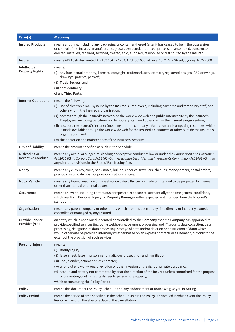| Term(s)                                    | <b>Meaning</b>                                                                                                                                                                                                                                                                                                                                                                                                                                                                                                                                                                                                                                                                                                      |
|--------------------------------------------|---------------------------------------------------------------------------------------------------------------------------------------------------------------------------------------------------------------------------------------------------------------------------------------------------------------------------------------------------------------------------------------------------------------------------------------------------------------------------------------------------------------------------------------------------------------------------------------------------------------------------------------------------------------------------------------------------------------------|
| <b>Insured Products</b>                    | means anything, including any packaging or container thereof (after it has ceased to be in the possession<br>or control of the Insured) manufactured, grown, extracted, produced, processed, assembled, constructed,<br>erected, installed, repaired, serviced, treated, sold, supplied, resupplied or distributed by the Insured.                                                                                                                                                                                                                                                                                                                                                                                  |
| Insurer                                    | means AIG Australia Limited ABN 93 004 727 753, AFSL 381686, of Level 19, 2 Park Street, Sydney, NSW 2000.                                                                                                                                                                                                                                                                                                                                                                                                                                                                                                                                                                                                          |
| Intellectual<br><b>Property Rights</b>     | means:<br>(i) any intellectual property, licenses, copyright, trademark, service mark, registered designs, CAD drawings,<br>drawings, patents, pass off;<br>(ii) Trade Secrets; and<br>(iii) confidentiality,<br>of any Third Party.                                                                                                                                                                                                                                                                                                                                                                                                                                                                                |
| <b>Internet Operations</b>                 | means the following:<br>(i) use of electronic mail systems by the Insured's Employees, including part-time and temporary staff, and<br>others within the Insured's organisation;<br>(ii) access through the Insured's network to the world wide web or a public internet site by the Insured's<br>Employees, including part-time and temporary staff, and others within the Insured's organisation;<br>(iii) access to the Insured's intranet (meaning internal company information and computing resources) which<br>is made available through the world wide web for the Insured's customers or other outside the Insured's<br>organisation; and<br>(iv) the operation and maintenance of the Insured's web site. |
| <b>Limit of Liability</b>                  | means the amount specified as such in the Schedule.                                                                                                                                                                                                                                                                                                                                                                                                                                                                                                                                                                                                                                                                 |
| Misleading or<br><b>Deceptive Conduct</b>  | means any actual or alleged misleading or deceptive conduct at law or under the Competition and Consumer<br>Act 2010 (Cth), Corporations Act 2001 (Cth), Australian Securities and Investments Commission Act 2001 (Cth), or<br>any similar provisions in the States' Fair Trading Acts.                                                                                                                                                                                                                                                                                                                                                                                                                            |
| Money                                      | means any currency, coins, bank notes, bullion, cheques, travellers' cheques, money orders, postal orders,<br>precious metals, stamps, coupons or cryptocurrencies.                                                                                                                                                                                                                                                                                                                                                                                                                                                                                                                                                 |
| <b>Motor Vehicle</b>                       | means any type of machine on wheels or on caterpillar tracks made or intended to be propelled by means<br>other than manual or animal power.                                                                                                                                                                                                                                                                                                                                                                                                                                                                                                                                                                        |
| Occurrence                                 | means an event, including continuous or repeated exposure to substantially the same general conditions,<br>which results in Personal Injury, or Property Damage neither expected not intended from the Insured's<br>standpoint.                                                                                                                                                                                                                                                                                                                                                                                                                                                                                     |
| Organisation                               | means any parent company or other entity which is or has been at any time directly or indirectly owned,<br>controlled or managed by any Insured.                                                                                                                                                                                                                                                                                                                                                                                                                                                                                                                                                                    |
| <b>Outside Service</b><br>Provider ('OSP') | an entity which is not owned, operated or controlled by the Company that the Company has appointed to<br>provide specified services (including webhosting, payment processing and IT security data collection, data<br>processing, delegation of data processing, storage of data and/or deletion or destruction of data) which<br>would otherwise be provided internally whether based on an express contractual agreement, but only to the<br>extent of the provision of such services.                                                                                                                                                                                                                           |
| Personal Injury                            | means:<br>(i) Bodily Injury;<br>(ii) false arrest, false imprisonment, malicious prosecution and humiliation;<br>(iii) libel, slander, defamation of character;<br>(iv) wrongful entry or wrongful eviction or other invasion of the right of private occupancy;<br>(v) assault and battery not committed by or at the direction of the Insured unless committed for the purpose<br>of preventing or eliminating danger to persons or property,<br>which occurs during the Policy Period.                                                                                                                                                                                                                           |
| <b>Policy</b>                              | means this document the Policy Schedule and any endorsement or notice we give you in writing.                                                                                                                                                                                                                                                                                                                                                                                                                                                                                                                                                                                                                       |
| <b>Policy Period</b>                       | means the period of time specified in the Schedule unless the Policy is cancelled in which event the Policy<br>Period will end on the effective date of the cancellation.                                                                                                                                                                                                                                                                                                                                                                                                                                                                                                                                           |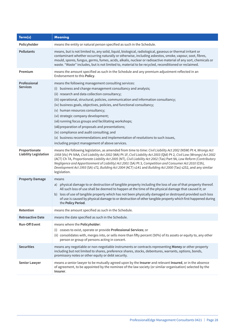| Term(s)                                       | <b>Meaning</b>                                                                                                                                                                                                                                                                                                                                                                                                                                                                                                                                                                                                                                                                                                         |
|-----------------------------------------------|------------------------------------------------------------------------------------------------------------------------------------------------------------------------------------------------------------------------------------------------------------------------------------------------------------------------------------------------------------------------------------------------------------------------------------------------------------------------------------------------------------------------------------------------------------------------------------------------------------------------------------------------------------------------------------------------------------------------|
| Policyholder                                  | means the entity or natural person specified as such in the Schedule.                                                                                                                                                                                                                                                                                                                                                                                                                                                                                                                                                                                                                                                  |
| <b>Pollutants</b>                             | means, but is not limited to, any solid, liquid, biological, radiological, gaseous or thermal irritant or<br>contaminant whether occurring naturally or otherwise, including asbestos, smoke, vapour, soot, fibres,<br>mould, spores, fungus, germs, fumes, acids, alkalis, nuclear or radioactive material of any sort, chemicals or<br>waste. "Waste" includes, but is not limited to, material to be recycled, reconditioned or reclaimed.                                                                                                                                                                                                                                                                          |
| Premium                                       | means the amount specified as such in the Schedule and any premium adjustment reflected in an<br>Endorsement to this Policy.                                                                                                                                                                                                                                                                                                                                                                                                                                                                                                                                                                                           |
| Professional<br><b>Services</b>               | means the following management consulting services:<br>business and change management consultancy and analysis;<br>(i)<br>(ii) research and data collection consultancy;<br>(iii) operational, structural, policies, communication and information consultancy;<br>(iv) business goals, objectives, policies, and functional consultancy;<br>(v) human resources consultancy;<br>(vi) strategic company development;<br>(vii) running focus groups and facilitating workshops;<br>(viii) preparation of proposals and presentations;<br>(ix) compliance and audit consulting; and<br>(x) business recommendations and implementation of resolutions to such issues,<br>including project management of above services. |
| Proportionate<br><b>Liability Legislation</b> | means the following legislation, as amended from time to time: Civil Liability Act 2002 (NSW) Pt 4, Wrongs Act<br>1958 (Vic) Pt IVAA, Civil Liability Act 2002 (WA) Pt 1F, Civil Liability Act 2003 (Qld) Pt 2, Civil Law (Wrongs) Act 2002<br>(ACT) Ch 7A, Proportionate Liability Act 2005 (NT), Civil Liability Act 2002 (Tas) Part 9A, Law Reform (Contributory<br>Negligence and Apportionment of Liability) Act 2001 (SA) Pt 3, Competition and Consumer Act 2010 (Cth),<br>Development Act 1993 (SA) s72, Building Act 2004 (ACT) s141 and Building Act 2000 (Tas) s252, and any similar<br>legislation.                                                                                                        |
| <b>Property Damage</b>                        | means<br>a) physical damage to or destruction of tangible property including the loss of use of that property thereof.<br>All such loss of use shall be deemed to happen at the time of the physical damage that caused it; or<br>b) loss of use of tangible property which has not been physically damaged or destroyed provided such loss<br>of use is caused by physical damage to or destruction of other tangible property which first happened during<br>the Policy Period.                                                                                                                                                                                                                                      |
| Retention                                     | means the amount specified as such in the Schedule.                                                                                                                                                                                                                                                                                                                                                                                                                                                                                                                                                                                                                                                                    |
| <b>Retroactive Date</b>                       | means the date specified as such in the Schedule.                                                                                                                                                                                                                                                                                                                                                                                                                                                                                                                                                                                                                                                                      |
| <b>Run-Off Event</b>                          | means where the Policyholder:<br>(i) ceases to exist, operate or provide Professional Services; or<br>(ii) consolidates with, merges into, or sells more than fifty percent (50%) of its assets or equity to, any other<br>person or group of persons acting in concert.                                                                                                                                                                                                                                                                                                                                                                                                                                               |
| <b>Securities</b>                             | means any negotiable or non-negotiable instruments or contracts representing Money or other property<br>including but not limited to shares, preference shares, stocks, debentures, warrants, options, bonds,<br>promissory notes or other equity or debt security.                                                                                                                                                                                                                                                                                                                                                                                                                                                    |
| Senior Lawyer                                 | means a senior lawyer to be mutually agreed upon by the Insurer and relevant Insured, or in the absence<br>of agreement, to be appointed by the nominee of the law society (or similar organisation) selected by the<br>Insurer.                                                                                                                                                                                                                                                                                                                                                                                                                                                                                       |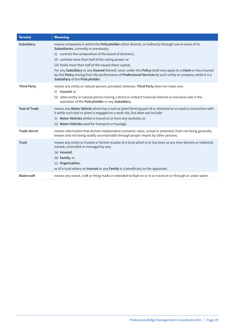| Term(s)              | <b>Meaning</b>                                                                                                                                                                                                                                                                                                                                                                                                                                                                                                                                                                                      |
|----------------------|-----------------------------------------------------------------------------------------------------------------------------------------------------------------------------------------------------------------------------------------------------------------------------------------------------------------------------------------------------------------------------------------------------------------------------------------------------------------------------------------------------------------------------------------------------------------------------------------------------|
| Subsidiary           | means companies in which the Policyholder either directly, or indirectly through one or more of its<br>Subsidiaries, currently or previously;<br>controls the composition of the board of directors;<br>(i)<br>(ii) controls more than half of the voting power; or<br>(iii) holds more than half of the issued share capital.<br>For any Subsidiary or any Insured thereof, cover under this Policy shall only apply to a Claim or loss insured<br>by this Policy arising from the performance of Professional Services by such entity or company while it is a<br>Subsidiary of the Policyholder. |
| <b>Third Party</b>   | means any entity or natural person; provided, however, Third Party does not mean any:<br>(i) Insured; or<br>(ii) other entity or natural person having a direct or indirect financial interest or executive role in the<br>operation of the Policyholder or any Subsidiary.                                                                                                                                                                                                                                                                                                                         |
| <b>Tool of Trade</b> | means any Motor Vehicle which has a tool or plant forming part of or attached to or used in connection with<br>it while such tool or plant is engaged on a work site, but does not include:<br>Motor Vehicles whilst in transit to or from any worksite; or<br>(i)<br>(ii) Motor Vehicles used for transport or haulage.                                                                                                                                                                                                                                                                            |
| <b>Trade Secret</b>  | means information that derives independent economic value, actual or potential, from not being generally<br>known and not being readily ascertainable through proper means by other persons.                                                                                                                                                                                                                                                                                                                                                                                                        |
| <b>Trust</b>         | means any entity or trustee or former trustee of a trust which is or has been at any time directly or indirectly<br>owned, controlled or managed by any:<br>(a) Insured;<br>(b) Family; or<br>(c) Organisation,<br>or of a trust where an Insured or any Family is a beneficiary or the appointor.                                                                                                                                                                                                                                                                                                  |
| Watercraft           | means any vessel, craft or thing made or intended to float on or in or travel on or through or under water.                                                                                                                                                                                                                                                                                                                                                                                                                                                                                         |